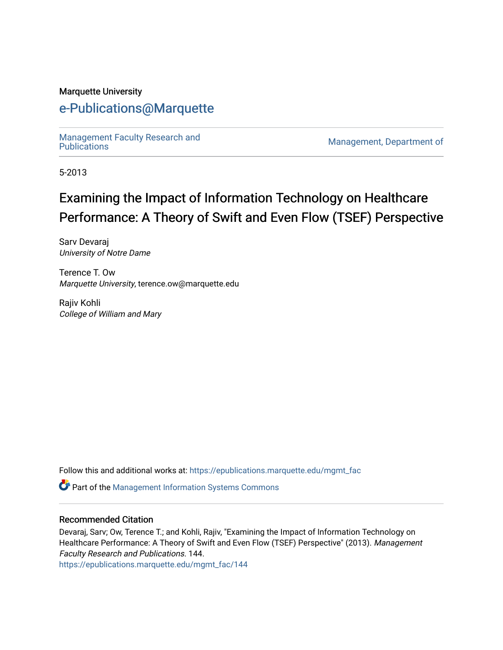#### Marquette University

## [e-Publications@Marquette](https://epublications.marquette.edu/)

Management Faculty Research and<br>Publications

Management, Department of

5-2013

## Examining the Impact of Information Technology on Healthcare Performance: A Theory of Swift and Even Flow (TSEF) Perspective

Sarv Devaraj University of Notre Dame

Terence T. Ow Marquette University, terence.ow@marquette.edu

Rajiv Kohli College of William and Mary

Follow this and additional works at: [https://epublications.marquette.edu/mgmt\\_fac](https://epublications.marquette.edu/mgmt_fac?utm_source=epublications.marquette.edu%2Fmgmt_fac%2F144&utm_medium=PDF&utm_campaign=PDFCoverPages) 

Part of the [Management Information Systems Commons](http://network.bepress.com/hgg/discipline/636?utm_source=epublications.marquette.edu%2Fmgmt_fac%2F144&utm_medium=PDF&utm_campaign=PDFCoverPages) 

#### Recommended Citation

Devaraj, Sarv; Ow, Terence T.; and Kohli, Rajiv, "Examining the Impact of Information Technology on Healthcare Performance: A Theory of Swift and Even Flow (TSEF) Perspective" (2013). Management Faculty Research and Publications. 144.

[https://epublications.marquette.edu/mgmt\\_fac/144](https://epublications.marquette.edu/mgmt_fac/144?utm_source=epublications.marquette.edu%2Fmgmt_fac%2F144&utm_medium=PDF&utm_campaign=PDFCoverPages)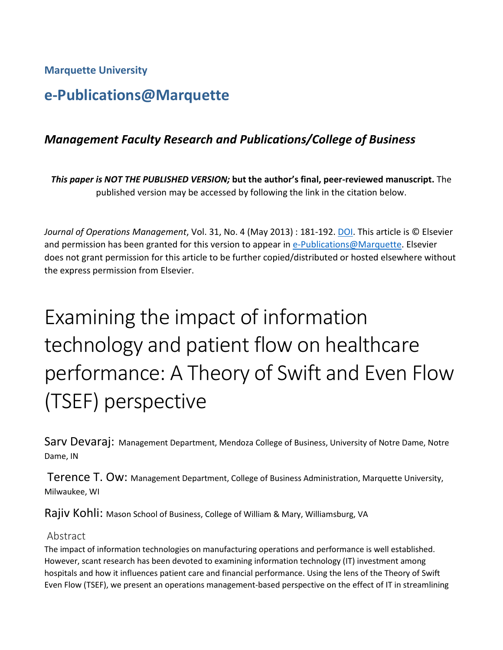**Marquette University**

# **e-Publications@Marquette**

## *Management Faculty Research and Publications/College of Business*

*This paper is NOT THE PUBLISHED VERSION;* **but the author's final, peer-reviewed manuscript.** The published version may be accessed by following the link in the citation below.

*Journal of Operations Management*, Vol. 31, No. 4 (May 2013) : 181-192. [DOI.](https://onlinelibrary.wiley.com/doi/full/10.1016/j.jom.2013.03.001) This article is © Elsevier and permission has been granted for this version to appear in [e-Publications@Marquette.](http://epublications.marquette.edu/) Elsevier does not grant permission for this article to be further copied/distributed or hosted elsewhere without the express permission from Elsevier.

# Examining the impact of information technology and patient flow on healthcare performance: A Theory of Swift and Even Flow (TSEF) perspective

Sarv Devaraj: Management Department, Mendoza College of Business, University of Notre Dame, Notre Dame, IN

Terence T. Ow: Management Department, College of Business Administration, Marquette University, Milwaukee, WI

Rajiv Kohli: Mason School of Business, College of William & Mary, Williamsburg, VA

#### Abstract

The impact of information technologies on manufacturing operations and performance is well established. However, scant research has been devoted to examining information technology (IT) investment among hospitals and how it influences patient care and financial performance. Using the lens of the Theory of Swift Even Flow (TSEF), we present an operations management-based perspective on the effect of IT in streamlining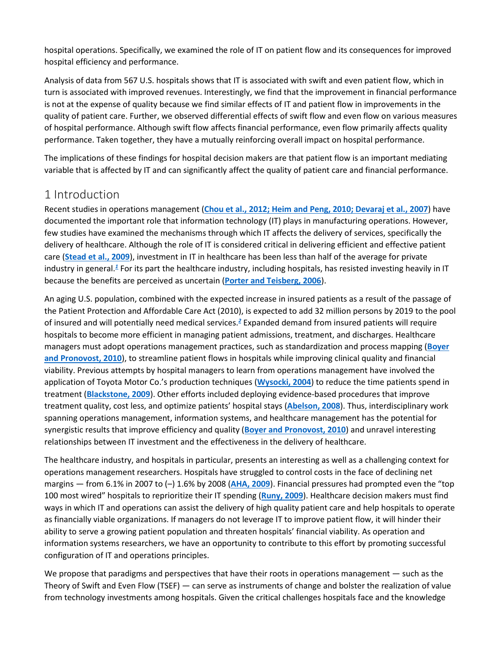hospital operations. Specifically, we examined the role of IT on patient flow and its consequences for improved hospital efficiency and performance.

Analysis of data from 567 U.S. hospitals shows that IT is associated with swift and even patient flow, which in turn is associated with improved revenues. Interestingly, we find that the improvement in financial performance is not at the expense of quality because we find similar effects of IT and patient flow in improvements in the quality of patient care. Further, we observed differential effects of swift flow and even flow on various measures of hospital performance. Although swift flow affects financial performance, even flow primarily affects quality performance. Taken together, they have a mutually reinforcing overall impact on hospital performance.

The implications of these findings for hospital decision makers are that patient flow is an important mediating variable that is affected by IT and can significantly affect the quality of patient care and financial performance.

## 1 Introduction

Recent studies in operations management (**[Chou et al., 2012; Heim and Peng, 2010; Devaraj et al., 2007](https://onlinelibrary.wiley.com/doi/full/10.1016/j.jom.2013.03.001#bib0065%20#bib0155%20#bib0400)**) have documented the important role that information technology (IT) plays in manufacturing operations. However, few studies have examined the mechanisms through which IT affects the delivery of services, specifically the delivery of healthcare. Although the role of IT is considered critical in delivering efficient and effective patient care (**[Stead et al., 2009](https://onlinelibrary.wiley.com/doi/full/10.1016/j.jom.2013.03.001#bib0360)**), investment in IT in healthcare has been less than half of the average for private industry in general[.](https://onlinelibrary.wiley.com/doi/full/10.1016/j.jom.2013.03.001#fn0005_3)*<sup>1</sup>* For its part the healthcare industry, including hospitals, has resisted investing heavily in IT because the benefits are perceived as uncertain (**[Porter and Teisberg, 2006](https://onlinelibrary.wiley.com/doi/full/10.1016/j.jom.2013.03.001#bib0275)**).

An aging U.S. population, combined with the expected increase in insured patients as a result of the passage of the Patient Protection and Affordable Care Act (2010), is expected to add 32 million persons by 2019 to the pool of insured and will potentially need medical services[.](https://onlinelibrary.wiley.com/doi/full/10.1016/j.jom.2013.03.001#fn0010_5)*<sup>2</sup>* Expanded demand from insured patients will require hospitals to become more efficient in managing patient admissions, treatment, and discharges. Healthcare managers must adopt operations management practices, such as standardization and process mapping (**[Boyer](https://onlinelibrary.wiley.com/doi/full/10.1016/j.jom.2013.03.001#bib0045)  [and Pronovost, 2010](https://onlinelibrary.wiley.com/doi/full/10.1016/j.jom.2013.03.001#bib0045)**), to streamline patient flows in hospitals while improving clinical quality and financial viability. Previous attempts by hospital managers to learn from operations management have involved the application of Toyota Motor Co.'s production techniques (**[Wysocki, 2004](https://onlinelibrary.wiley.com/doi/full/10.1016/j.jom.2013.03.001#bib0395)**) to reduce the time patients spend in treatment (**[Blackstone, 2009](https://onlinelibrary.wiley.com/doi/full/10.1016/j.jom.2013.03.001#bib0040)**). Other efforts included deploying evidence-based procedures that improve treatment quality, cost less, and optimize patients' hospital stays (**[Abelson, 2008](https://onlinelibrary.wiley.com/doi/full/10.1016/j.jom.2013.03.001#bib0005)**). Thus, interdisciplinary work spanning operations management, information systems, and healthcare management has the potential for synergistic results that improve efficiency and quality (**[Boyer and Pronovost, 2010](https://onlinelibrary.wiley.com/doi/full/10.1016/j.jom.2013.03.001#bib0045)**) and unravel interesting relationships between IT investment and the effectiveness in the delivery of healthcare.

The healthcare industry, and hospitals in particular, presents an interesting as well as a challenging context for operations management researchers. Hospitals have struggled to control costs in the face of declining net margins — from 6.1% in 2007 to (–) 1.6% by 2008 (**[AHA, 2009](https://onlinelibrary.wiley.com/doi/full/10.1016/j.jom.2013.03.001#bib0015)**). Financial pressures had prompted even the "top 100 most wired" hospitals to reprioritize their IT spending (**[Runy, 2009](https://onlinelibrary.wiley.com/doi/full/10.1016/j.jom.2013.03.001#bib0295)**). Healthcare decision makers must find ways in which IT and operations can assist the delivery of high quality patient care and help hospitals to operate as financially viable organizations. If managers do not leverage IT to improve patient flow, it will hinder their ability to serve a growing patient population and threaten hospitals' financial viability. As operation and information systems researchers, we have an opportunity to contribute to this effort by promoting successful configuration of IT and operations principles.

We propose that paradigms and perspectives that have their roots in operations management — such as the Theory of Swift and Even Flow (TSEF) — can serve as instruments of change and bolster the realization of value from technology investments among hospitals. Given the critical challenges hospitals face and the knowledge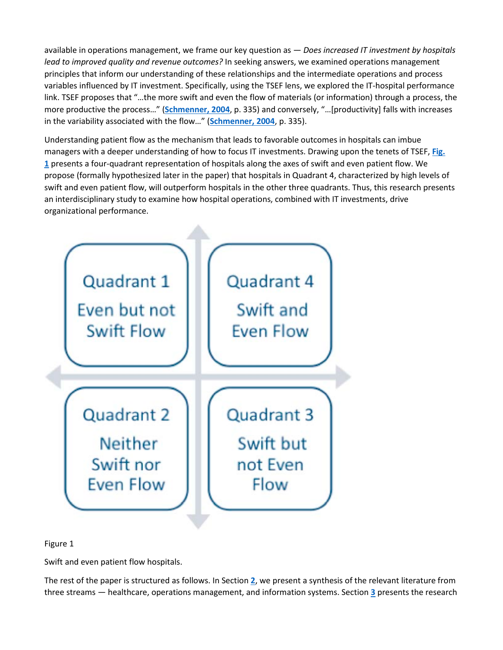available in operations management, we frame our key question as — *Does increased IT investment by hospitals lead to improved quality and revenue outcomes?* In seeking answers, we examined operations management principles that inform our understanding of these relationships and the intermediate operations and process variables influenced by IT investment. Specifically, using the TSEF lens, we explored the IT-hospital performance link. TSEF proposes that "…the more swift and even the flow of materials (or information) through a process, the more productive the process…" (**[Schmenner, 2004](https://onlinelibrary.wiley.com/doi/full/10.1016/j.jom.2013.03.001#bib0305)**, p. 335) and conversely, "…[productivity] falls with increases in the variability associated with the flow…" (**[Schmenner, 2004](https://onlinelibrary.wiley.com/doi/full/10.1016/j.jom.2013.03.001#bib0305)**, p. 335).

Understanding patient flow as the mechanism that leads to favorable outcomes in hospitals can imbue managers with a deeper understanding of how to focus IT investments. Drawing upon the tenets of TSEF, **[Fig.](https://onlinelibrary.wiley.com/doi/full/10.1016/j.jom.2013.03.001#fig0005)  [1](https://onlinelibrary.wiley.com/doi/full/10.1016/j.jom.2013.03.001#fig0005)** presents a four-quadrant representation of hospitals along the axes of swift and even patient flow. We propose (formally hypothesized later in the paper) that hospitals in Quadrant 4, characterized by high levels of swift and even patient flow, will outperform hospitals in the other three quadrants. Thus, this research presents an interdisciplinary study to examine how hospital operations, combined with IT investments, drive organizational performance.



Figure 1

Swift and even patient flow hospitals.

The rest of the paper is structured as follows. In Section **[2](https://onlinelibrary.wiley.com/doi/full/10.1016/j.jom.2013.03.001#sec0010)**, we present a synthesis of the relevant literature from three streams — healthcare, operations management, and information systems. Section **[3](https://onlinelibrary.wiley.com/doi/full/10.1016/j.jom.2013.03.001#sec0030)** presents the research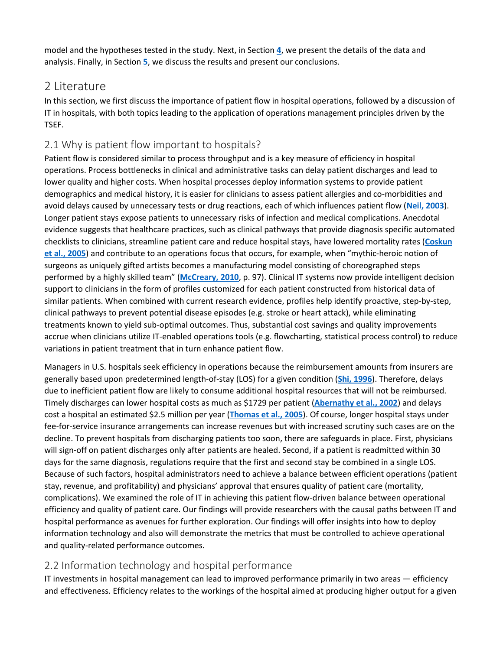model and the hypotheses tested in the study. Next, in Section **[4](https://onlinelibrary.wiley.com/doi/full/10.1016/j.jom.2013.03.001#sec0045)**, we present the details of the data and analysis. Finally, in Section **[5](https://onlinelibrary.wiley.com/doi/full/10.1016/j.jom.2013.03.001#sec0065)**, we discuss the results and present our conclusions.

## 2 Literature

In this section, we first discuss the importance of patient flow in hospital operations, followed by a discussion of IT in hospitals, with both topics leading to the application of operations management principles driven by the TSEF.

## 2.1 Why is patient flow important to hospitals?

Patient flow is considered similar to process throughput and is a key measure of efficiency in hospital operations. Process bottlenecks in clinical and administrative tasks can delay patient discharges and lead to lower quality and higher costs. When hospital processes deploy information systems to provide patient demographics and medical history, it is easier for clinicians to assess patient allergies and co-morbidities and avoid delays caused by unnecessary tests or drug reactions, each of which influences patient flow (**[Neil, 2003](https://onlinelibrary.wiley.com/doi/full/10.1016/j.jom.2013.03.001#bib0260)**). Longer patient stays expose patients to unnecessary risks of infection and medical complications. Anecdotal evidence suggests that healthcare practices, such as clinical pathways that provide diagnosis specific automated checklists to clinicians, streamline patient care and reduce hospital stays, have lowered mortality rates (**[Coskun](https://onlinelibrary.wiley.com/doi/full/10.1016/j.jom.2013.03.001#bib0070)  [et al., 2005](https://onlinelibrary.wiley.com/doi/full/10.1016/j.jom.2013.03.001#bib0070)**) and contribute to an operations focus that occurs, for example, when "mythic-heroic notion of surgeons as uniquely gifted artists becomes a manufacturing model consisting of choreographed steps performed by a highly skilled team" (**[McCreary, 2010](https://onlinelibrary.wiley.com/doi/full/10.1016/j.jom.2013.03.001#bib0225)**, p. 97). Clinical IT systems now provide intelligent decision support to clinicians in the form of profiles customized for each patient constructed from historical data of similar patients. When combined with current research evidence, profiles help identify proactive, step-by-step, clinical pathways to prevent potential disease episodes (e.g. stroke or heart attack), while eliminating treatments known to yield sub-optimal outcomes. Thus, substantial cost savings and quality improvements accrue when clinicians utilize IT-enabled operations tools (e.g. flowcharting, statistical process control) to reduce variations in patient treatment that in turn enhance patient flow.

Managers in U.S. hospitals seek efficiency in operations because the reimbursement amounts from insurers are generally based upon predetermined length-of-stay (LOS) for a given condition (**[Shi, 1996](https://onlinelibrary.wiley.com/doi/full/10.1016/j.jom.2013.03.001#bib0335)**). Therefore, delays due to inefficient patient flow are likely to consume additional hospital resources that will not be reimbursed. Timely discharges can lower hospital costs as much as \$1729 per patient (**[Abernathy et al., 2002](https://onlinelibrary.wiley.com/doi/full/10.1016/j.jom.2013.03.001#bib0010)**) and delays cost a hospital an estimated \$2.5 million per year (**[Thomas et al., 2005](https://onlinelibrary.wiley.com/doi/full/10.1016/j.jom.2013.03.001#bib0365)**). Of course, longer hospital stays under fee-for-service insurance arrangements can increase revenues but with increased scrutiny such cases are on the decline. To prevent hospitals from discharging patients too soon, there are safeguards in place. First, physicians will sign-off on patient discharges only after patients are healed. Second, if a patient is readmitted within 30 days for the same diagnosis, regulations require that the first and second stay be combined in a single LOS. Because of such factors, hospital administrators need to achieve a balance between efficient operations (patient stay, revenue, and profitability) and physicians' approval that ensures quality of patient care (mortality, complications). We examined the role of IT in achieving this patient flow-driven balance between operational efficiency and quality of patient care. Our findings will provide researchers with the causal paths between IT and hospital performance as avenues for further exploration. Our findings will offer insights into how to deploy information technology and also will demonstrate the metrics that must be controlled to achieve operational and quality-related performance outcomes.

## 2.2 Information technology and hospital performance

IT investments in hospital management can lead to improved performance primarily in two areas — efficiency and effectiveness. Efficiency relates to the workings of the hospital aimed at producing higher output for a given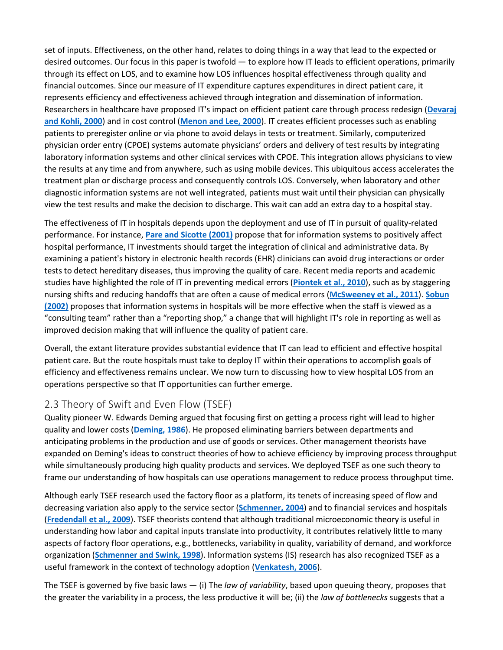set of inputs. Effectiveness, on the other hand, relates to doing things in a way that lead to the expected or desired outcomes. Our focus in this paper is twofold — to explore how IT leads to efficient operations, primarily through its effect on LOS, and to examine how LOS influences hospital effectiveness through quality and financial outcomes. Since our measure of IT expenditure captures expenditures in direct patient care, it represents efficiency and effectiveness achieved through integration and dissemination of information. Researchers in healthcare have proposed IT's impact on efficient patient care through process redesign (**[Devaraj](https://onlinelibrary.wiley.com/doi/full/10.1016/j.jom.2013.03.001#bib0090)  [and Kohli, 2000](https://onlinelibrary.wiley.com/doi/full/10.1016/j.jom.2013.03.001#bib0090)**) and in cost control (**[Menon and Lee, 2000](https://onlinelibrary.wiley.com/doi/full/10.1016/j.jom.2013.03.001#bib0240)**). IT creates efficient processes such as enabling patients to preregister online or via phone to avoid delays in tests or treatment. Similarly, computerized physician order entry (CPOE) systems automate physicians' orders and delivery of test results by integrating laboratory information systems and other clinical services with CPOE. This integration allows physicians to view the results at any time and from anywhere, such as using mobile devices. This ubiquitous access accelerates the treatment plan or discharge process and consequently controls LOS. Conversely, when laboratory and other diagnostic information systems are not well integrated, patients must wait until their physician can physically view the test results and make the decision to discharge. This wait can add an extra day to a hospital stay.

The effectiveness of IT in hospitals depends upon the deployment and use of IT in pursuit of quality-related performance. For instance, **[Pare and Sicotte \(2001\)](https://onlinelibrary.wiley.com/doi/full/10.1016/j.jom.2013.03.001#bib0265)** propose that for information systems to positively affect hospital performance, IT investments should target the integration of clinical and administrative data. By examining a patient's history in electronic health records (EHR) clinicians can avoid drug interactions or order tests to detect hereditary diseases, thus improving the quality of care. Recent media reports and academic studies have highlighted the role of IT in preventing medical errors (**[Piontek et al., 2010](https://onlinelibrary.wiley.com/doi/full/10.1016/j.jom.2013.03.001#bib0270)**), such as by staggering nursing shifts and reducing handoffs that are often a cause of medical errors (**[McSweeney et al., 2011](https://onlinelibrary.wiley.com/doi/full/10.1016/j.jom.2013.03.001#bib0235)**). **[Sobun](https://onlinelibrary.wiley.com/doi/full/10.1016/j.jom.2013.03.001#bib0350)  [\(2002\)](https://onlinelibrary.wiley.com/doi/full/10.1016/j.jom.2013.03.001#bib0350)** proposes that information systems in hospitals will be more effective when the staff is viewed as a "consulting team" rather than a "reporting shop," a change that will highlight IT's role in reporting as well as improved decision making that will influence the quality of patient care.

Overall, the extant literature provides substantial evidence that IT can lead to efficient and effective hospital patient care. But the route hospitals must take to deploy IT within their operations to accomplish goals of efficiency and effectiveness remains unclear. We now turn to discussing how to view hospital LOS from an operations perspective so that IT opportunities can further emerge.

#### 2.3 Theory of Swift and Even Flow (TSEF)

Quality pioneer W. Edwards Deming argued that focusing first on getting a process right will lead to higher quality and lower costs (**[Deming, 1986](https://onlinelibrary.wiley.com/doi/full/10.1016/j.jom.2013.03.001#bib0080)**). He proposed eliminating barriers between departments and anticipating problems in the production and use of goods or services. Other management theorists have expanded on Deming's ideas to construct theories of how to achieve efficiency by improving process throughput while simultaneously producing high quality products and services. We deployed TSEF as one such theory to frame our understanding of how hospitals can use operations management to reduce process throughput time.

Although early TSEF research used the factory floor as a platform, its tenets of increasing speed of flow and decreasing variation also apply to the service sector (**[Schmenner, 2004](https://onlinelibrary.wiley.com/doi/full/10.1016/j.jom.2013.03.001#bib0305)**) and to financial services and hospitals (**[Fredendall et al., 2009](https://onlinelibrary.wiley.com/doi/full/10.1016/j.jom.2013.03.001#bib0125)**). TSEF theorists contend that although traditional microeconomic theory is useful in understanding how labor and capital inputs translate into productivity, it contributes relatively little to many aspects of factory floor operations, e.g., bottlenecks, variability in quality, variability of demand, and workforce organization (**[Schmenner and Swink, 1998](https://onlinelibrary.wiley.com/doi/full/10.1016/j.jom.2013.03.001#bib0310)**). Information systems (IS) research has also recognized TSEF as a useful framework in the context of technology adoption (**[Venkatesh, 2006](https://onlinelibrary.wiley.com/doi/full/10.1016/j.jom.2013.03.001#bib0370)**).

The TSEF is governed by five basic laws — (i) The *law of variability*, based upon queuing theory, proposes that the greater the variability in a process, the less productive it will be; (ii) the *law of bottlenecks* suggests that a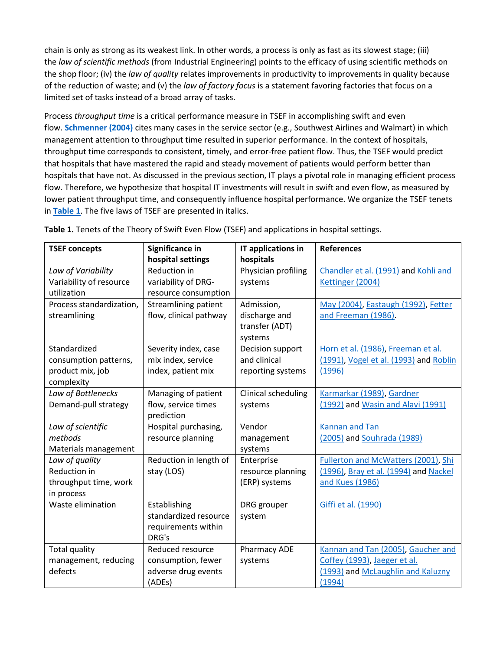chain is only as strong as its weakest link. In other words, a process is only as fast as its slowest stage; (iii) the *law of scientific methods* (from Industrial Engineering) points to the efficacy of using scientific methods on the shop floor; (iv) the *law of quality* relates improvements in productivity to improvements in quality because of the reduction of waste; and (v) the *law of factory focus* is a statement favoring factories that focus on a limited set of tasks instead of a broad array of tasks.

Process *throughput time* is a critical performance measure in TSEF in accomplishing swift and even flow. **[Schmenner \(2004\)](https://onlinelibrary.wiley.com/doi/full/10.1016/j.jom.2013.03.001#bib0305)** cites many cases in the service sector (e.g., Southwest Airlines and Walmart) in which management attention to throughput time resulted in superior performance. In the context of hospitals, throughput time corresponds to consistent, timely, and error-free patient flow. Thus, the TSEF would predict that hospitals that have mastered the rapid and steady movement of patients would perform better than hospitals that have not. As discussed in the previous section, IT plays a pivotal role in managing efficient process flow. Therefore, we hypothesize that hospital IT investments will result in swift and even flow, as measured by lower patient throughput time, and consequently influence hospital performance. We organize the TSEF tenets in **[Table 1](https://onlinelibrary.wiley.com/doi/full/10.1016/j.jom.2013.03.001#tbl0005)**. The five laws of TSEF are presented in italics.

| <b>TSEF concepts</b>     | Significance in             | IT applications in  | <b>References</b>                          |
|--------------------------|-----------------------------|---------------------|--------------------------------------------|
|                          | hospital settings           | hospitals           |                                            |
| Law of Variability       | Reduction in                | Physician profiling | Chandler et al. (1991) and Kohli and       |
| Variability of resource  | variability of DRG-         | systems             | Kettinger (2004)                           |
| utilization              | resource consumption        |                     |                                            |
| Process standardization, | <b>Streamlining patient</b> | Admission,          | May (2004), Eastaugh (1992), Fetter        |
| streamlining             | flow, clinical pathway      | discharge and       | and Freeman (1986).                        |
|                          |                             | transfer (ADT)      |                                            |
|                          |                             | systems             |                                            |
| Standardized             | Severity index, case        | Decision support    | Horn et al. (1986), Freeman et al.         |
| consumption patterns,    | mix index, service          | and clinical        | (1991), Vogel et al. (1993) and Roblin     |
| product mix, job         | index, patient mix          | reporting systems   | (1996)                                     |
| complexity               |                             |                     |                                            |
| Law of Bottlenecks       | Managing of patient         | Clinical scheduling | Karmarkar (1989), Gardner                  |
| Demand-pull strategy     | flow, service times         | systems             | (1992) and Wasin and Alavi (1991)          |
|                          | prediction                  |                     |                                            |
| Law of scientific        | Hospital purchasing,        | Vendor              | <b>Kannan and Tan</b>                      |
| methods                  | resource planning           | management          | (2005) and Souhrada (1989)                 |
| Materials management     |                             | systems             |                                            |
| Law of quality           | Reduction in length of      | Enterprise          | <b>Fullerton and McWatters (2001), Shi</b> |
| Reduction in             | stay (LOS)                  | resource planning   | (1996), Bray et al. (1994) and Nackel      |
| throughput time, work    |                             | (ERP) systems       | and Kues (1986)                            |
| in process               |                             |                     |                                            |
| Waste elimination        | Establishing                | DRG grouper         | Giffi et al. (1990)                        |
|                          | standardized resource       | system              |                                            |
|                          | requirements within         |                     |                                            |
|                          | DRG's                       |                     |                                            |
| <b>Total quality</b>     | Reduced resource            | Pharmacy ADE        | Kannan and Tan (2005), Gaucher and         |
| management, reducing     | consumption, fewer          | systems             | Coffey (1993), Jaeger et al.               |
| defects                  | adverse drug events         |                     | (1993) and McLaughlin and Kaluzny          |
|                          | (ADEs)                      |                     | (1994)                                     |

**Table 1.** Tenets of the Theory of Swift Even Flow (TSEF) and applications in hospital settings.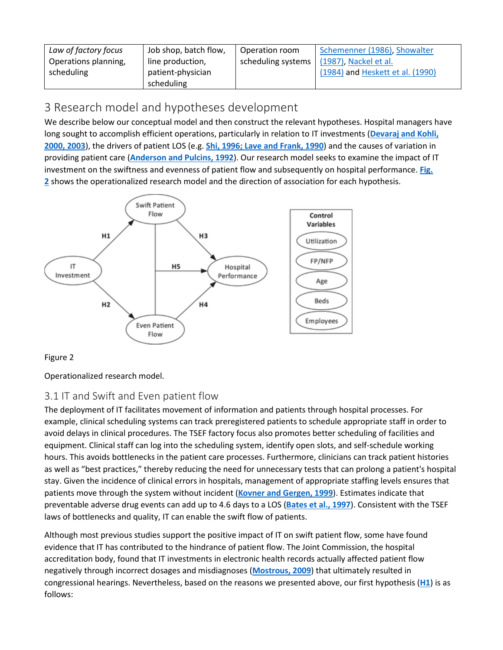| Law of factory focus | Job shop, batch flow, | Operation room     | Schemenner (1986), Showalter     |
|----------------------|-----------------------|--------------------|----------------------------------|
| Operations planning, | line production,      | scheduling systems | (1987), Nackel et al.            |
| scheduling           | patient-physician     |                    | (1984) and Heskett et al. (1990) |
|                      | scheduling            |                    |                                  |

## 3 Research model and hypotheses development

We describe below our conceptual model and then construct the relevant hypotheses. Hospital managers have long sought to accomplish efficient operations, particularly in relation to IT investments (**[Devaraj and Kohli,](https://onlinelibrary.wiley.com/doi/full/10.1016/j.jom.2013.03.001#bib0090%20#bib0095)  [2000, 2003](https://onlinelibrary.wiley.com/doi/full/10.1016/j.jom.2013.03.001#bib0090%20#bib0095)**), the drivers of patient LOS (e.g. **[Shi, 1996; Lave and Frank, 1990](https://onlinelibrary.wiley.com/doi/full/10.1016/j.jom.2013.03.001#bib0335%20#bib0210)**) and the causes of variation in providing patient care (**[Anderson and Pulcins, 1992](https://onlinelibrary.wiley.com/doi/full/10.1016/j.jom.2013.03.001#bib0020)**). Our research model seeks to examine the impact of IT investment on the swiftness and evenness of patient flow and subsequently on hospital performance. **[Fig.](https://onlinelibrary.wiley.com/doi/full/10.1016/j.jom.2013.03.001#fig0010)  [2](https://onlinelibrary.wiley.com/doi/full/10.1016/j.jom.2013.03.001#fig0010)** shows the operationalized research model and the direction of association for each hypothesis.



#### Figure 2

Operationalized research model.

## 3.1 IT and Swift and Even patient flow

The deployment of IT facilitates movement of information and patients through hospital processes. For example, clinical scheduling systems can track preregistered patients to schedule appropriate staff in order to avoid delays in clinical procedures. The TSEF factory focus also promotes better scheduling of facilities and equipment. Clinical staff can log into the scheduling system, identify open slots, and self-schedule working hours. This avoids bottlenecks in the patient care processes. Furthermore, clinicians can track patient histories as well as "best practices," thereby reducing the need for unnecessary tests that can prolong a patient's hospital stay. Given the incidence of clinical errors in hospitals, management of appropriate staffing levels ensures that patients move through the system without incident (**[Kovner and Gergen, 1999](https://onlinelibrary.wiley.com/doi/full/10.1016/j.jom.2013.03.001#bib0205)**). Estimates indicate that preventable adverse drug events can add up to 4.6 days to a LOS (**[Bates et al., 1997](https://onlinelibrary.wiley.com/doi/full/10.1016/j.jom.2013.03.001#bib0035)**). Consistent with the TSEF laws of bottlenecks and quality, IT can enable the swift flow of patients.

Although most previous studies support the positive impact of IT on swift patient flow, some have found evidence that IT has contributed to the hindrance of patient flow. The Joint Commission, the hospital accreditation body, found that IT investments in electronic health records actually affected patient flow negatively through incorrect dosages and misdiagnoses (**[Mostrous, 2009](https://onlinelibrary.wiley.com/doi/full/10.1016/j.jom.2013.03.001#bib0245)**) that ultimately resulted in congressional hearings. Nevertheless, based on the reasons we presented above, our first hypothesis (**[H1](https://onlinelibrary.wiley.com/doi/full/10.1016/j.jom.2013.03.001#enun0005)**) is as follows: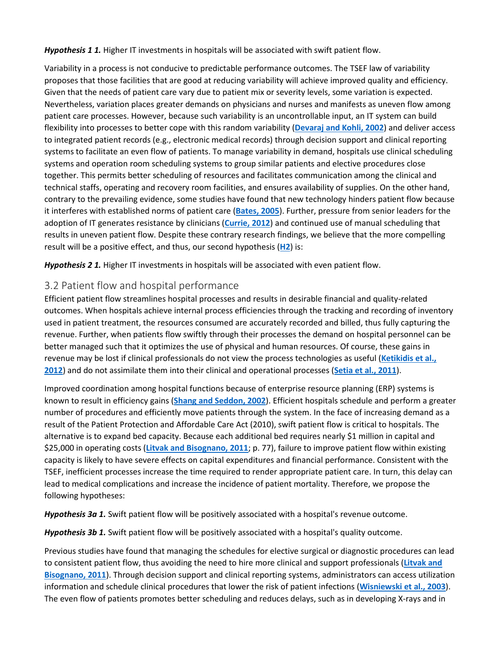*Hypothesis 1 1.* Higher IT investments in hospitals will be associated with swift patient flow.

Variability in a process is not conducive to predictable performance outcomes. The TSEF law of variability proposes that those facilities that are good at reducing variability will achieve improved quality and efficiency. Given that the needs of patient care vary due to patient mix or severity levels, some variation is expected. Nevertheless, variation places greater demands on physicians and nurses and manifests as uneven flow among patient care processes. However, because such variability is an uncontrollable input, an IT system can build flexibility into processes to better cope with this random variability (**[Devaraj and Kohli, 2002](https://onlinelibrary.wiley.com/doi/full/10.1016/j.jom.2013.03.001#bib0100)**) and deliver access to integrated patient records (e.g., electronic medical records) through decision support and clinical reporting systems to facilitate an even flow of patients. To manage variability in demand, hospitals use clinical scheduling systems and operation room scheduling systems to group similar patients and elective procedures close together. This permits better scheduling of resources and facilitates communication among the clinical and technical staffs, operating and recovery room facilities, and ensures availability of supplies. On the other hand, contrary to the prevailing evidence, some studies have found that new technology hinders patient flow because it interferes with established norms of patient care (**[Bates, 2005](https://onlinelibrary.wiley.com/doi/full/10.1016/j.jom.2013.03.001#bib0030)**). Further, pressure from senior leaders for the adoption of IT generates resistance by clinicians (**[Currie, 2012](https://onlinelibrary.wiley.com/doi/full/10.1016/j.jom.2013.03.001#bib0075)**) and continued use of manual scheduling that results in uneven patient flow. Despite these contrary research findings, we believe that the more compelling result will be a positive effect, and thus, our second hypothesis (**[H2](https://onlinelibrary.wiley.com/doi/full/10.1016/j.jom.2013.03.001#enun0005)**) is:

*Hypothesis 2 1.* Higher IT investments in hospitals will be associated with even patient flow.

#### 3.2 Patient flow and hospital performance

Efficient patient flow streamlines hospital processes and results in desirable financial and quality-related outcomes. When hospitals achieve internal process efficiencies through the tracking and recording of inventory used in patient treatment, the resources consumed are accurately recorded and billed, thus fully capturing the revenue. Further, when patients flow swiftly through their processes the demand on hospital personnel can be better managed such that it optimizes the use of physical and human resources. Of course, these gains in revenue may be lost if clinical professionals do not view the process technologies as useful (**[Ketikidis et](https://onlinelibrary.wiley.com/doi/full/10.1016/j.jom.2013.03.001#bib0195) al., [2012](https://onlinelibrary.wiley.com/doi/full/10.1016/j.jom.2013.03.001#bib0195)**) and do not assimilate them into their clinical and operational processes (**[Setia et al., 2011](https://onlinelibrary.wiley.com/doi/full/10.1016/j.jom.2013.03.001#bib0325)**).

Improved coordination among hospital functions because of enterprise resource planning (ERP) systems is known to result in efficiency gains (**[Shang and Seddon, 2002](https://onlinelibrary.wiley.com/doi/full/10.1016/j.jom.2013.03.001#bib0330)**). Efficient hospitals schedule and perform a greater number of procedures and efficiently move patients through the system. In the face of increasing demand as a result of the Patient Protection and Affordable Care Act (2010), swift patient flow is critical to hospitals. The alternative is to expand bed capacity. Because each additional bed requires nearly \$1 million in capital and \$25,000 in operating costs (**[Litvak and Bisognano, 2011](https://onlinelibrary.wiley.com/doi/full/10.1016/j.jom.2013.03.001#bib0215)**; p. 77), failure to improve patient flow within existing capacity is likely to have severe effects on capital expenditures and financial performance. Consistent with the TSEF, inefficient processes increase the time required to render appropriate patient care. In turn, this delay can lead to medical complications and increase the incidence of patient mortality. Therefore, we propose the following hypotheses:

*Hypothesis 3a 1.* Swift patient flow will be positively associated with a hospital's revenue outcome.

*Hypothesis 3b 1.* Swift patient flow will be positively associated with a hospital's quality outcome.

Previous studies have found that managing the schedules for elective surgical or diagnostic procedures can lead to consistent patient flow, thus avoiding the need to hire more clinical and support professionals (**[Litvak and](https://onlinelibrary.wiley.com/doi/full/10.1016/j.jom.2013.03.001#bib0215)  [Bisognano, 2011](https://onlinelibrary.wiley.com/doi/full/10.1016/j.jom.2013.03.001#bib0215)**). Through decision support and clinical reporting systems, administrators can access utilization information and schedule clinical procedures that lower the risk of patient infections (**[Wisniewski et al., 2003](https://onlinelibrary.wiley.com/doi/full/10.1016/j.jom.2013.03.001#bib0390)**). The even flow of patients promotes better scheduling and reduces delays, such as in developing X-rays and in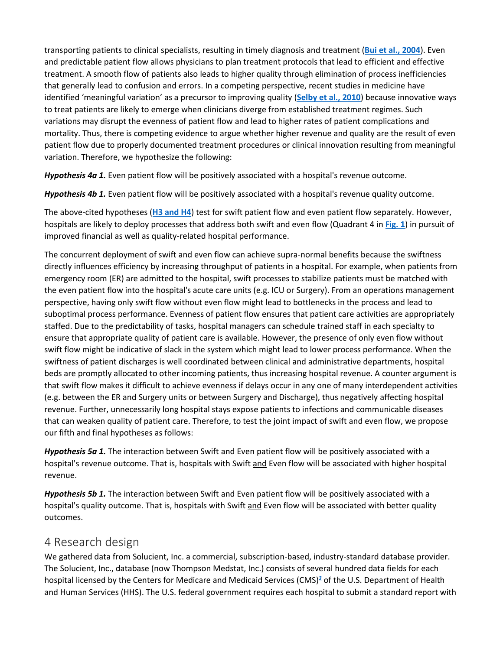transporting patients to clinical specialists, resulting in timely diagnosis and treatment (**[Bui et al., 2004](https://onlinelibrary.wiley.com/doi/full/10.1016/j.jom.2013.03.001#bib0055)**). Even and predictable patient flow allows physicians to plan treatment protocols that lead to efficient and effective treatment. A smooth flow of patients also leads to higher quality through elimination of process inefficiencies that generally lead to confusion and errors. In a competing perspective, recent studies in medicine have identified 'meaningful variation' as a precursor to improving quality (**[Selby et al., 2010](https://onlinelibrary.wiley.com/doi/full/10.1016/j.jom.2013.03.001#bib0320)**) because innovative ways to treat patients are likely to emerge when clinicians diverge from established treatment regimes. Such variations may disrupt the evenness of patient flow and lead to higher rates of patient complications and mortality. Thus, there is competing evidence to argue whether higher revenue and quality are the result of even patient flow due to properly documented treatment procedures or clinical innovation resulting from meaningful variation. Therefore, we hypothesize the following:

*Hypothesis 4a 1.* Even patient flow will be positively associated with a hospital's revenue outcome.

*Hypothesis 4b 1.* Even patient flow will be positively associated with a hospital's revenue quality outcome.

The above-cited hypotheses (**[H3 and H4](https://onlinelibrary.wiley.com/doi/full/10.1016/j.jom.2013.03.001#enun0015%20#enun0020%20#enun0025%20#enun0030)**) test for swift patient flow and even patient flow separately. However, hospitals are likely to deploy processes that address both swift and even flow (Quadrant 4 in **[Fig. 1](https://onlinelibrary.wiley.com/doi/full/10.1016/j.jom.2013.03.001#fig0005)**) in pursuit of improved financial as well as quality-related hospital performance.

The concurrent deployment of swift and even flow can achieve supra-normal benefits because the swiftness directly influences efficiency by increasing throughput of patients in a hospital. For example, when patients from emergency room (ER) are admitted to the hospital, swift processes to stabilize patients must be matched with the even patient flow into the hospital's acute care units (e.g. ICU or Surgery). From an operations management perspective, having only swift flow without even flow might lead to bottlenecks in the process and lead to suboptimal process performance. Evenness of patient flow ensures that patient care activities are appropriately staffed. Due to the predictability of tasks, hospital managers can schedule trained staff in each specialty to ensure that appropriate quality of patient care is available. However, the presence of only even flow without swift flow might be indicative of slack in the system which might lead to lower process performance. When the swiftness of patient discharges is well coordinated between clinical and administrative departments, hospital beds are promptly allocated to other incoming patients, thus increasing hospital revenue. A counter argument is that swift flow makes it difficult to achieve evenness if delays occur in any one of many interdependent activities (e.g. between the ER and Surgery units or between Surgery and Discharge), thus negatively affecting hospital revenue. Further, unnecessarily long hospital stays expose patients to infections and communicable diseases that can weaken quality of patient care. Therefore, to test the joint impact of swift and even flow, we propose our fifth and final hypotheses as follows:

*Hypothesis 5a 1.* The interaction between Swift and Even patient flow will be positively associated with a hospital's revenue outcome. That is, hospitals with Swift and Even flow will be associated with higher hospital revenue.

*Hypothesis 5b 1.* The interaction between Swift and Even patient flow will be positively associated with a hospital's quality outcome. That is, hospitals with Swift and Even flow will be associated with better quality outcomes.

## 4 Research design

We gathered data from Solucient, Inc. a commercial, subscription-based, industry-standard database provider. The Solucient, Inc., database (now Thompson Medstat, Inc.) consists of several hundred data fields for each hospital licensed by the Centers for Medicare and Medicaid Services (CMS)*[3](https://onlinelibrary.wiley.com/doi/full/10.1016/j.jom.2013.03.001#fn0015_88)* of the U.S. Department of Health and Human Services (HHS). The U.S. federal government requires each hospital to submit a standard report with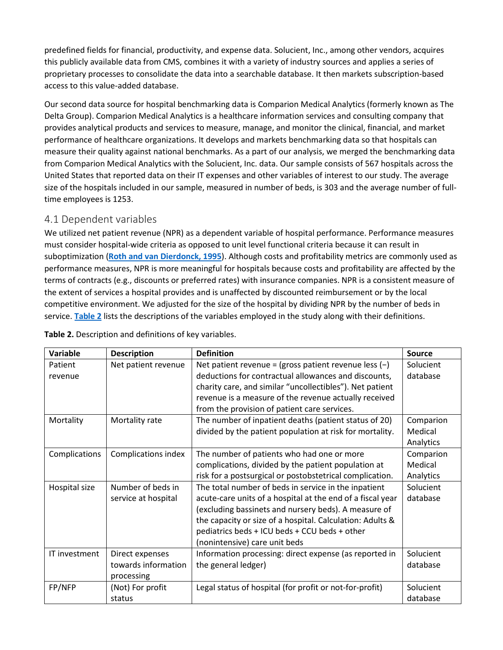predefined fields for financial, productivity, and expense data. Solucient, Inc., among other vendors, acquires this publicly available data from CMS, combines it with a variety of industry sources and applies a series of proprietary processes to consolidate the data into a searchable database. It then markets subscription-based access to this value-added database.

Our second data source for hospital benchmarking data is Comparion Medical Analytics (formerly known as The Delta Group). Comparion Medical Analytics is a healthcare information services and consulting company that provides analytical products and services to measure, manage, and monitor the clinical, financial, and market performance of healthcare organizations. It develops and markets benchmarking data so that hospitals can measure their quality against national benchmarks. As a part of our analysis, we merged the benchmarking data from Comparion Medical Analytics with the Solucient, Inc. data. Our sample consists of 567 hospitals across the United States that reported data on their IT expenses and other variables of interest to our study. The average size of the hospitals included in our sample, measured in number of beds, is 303 and the average number of fulltime employees is 1253.

#### 4.1 Dependent variables

We utilized net patient revenue (NPR) as a dependent variable of hospital performance. Performance measures must consider hospital-wide criteria as opposed to unit level functional criteria because it can result in suboptimization (**[Roth and van Dierdonck, 1995](https://onlinelibrary.wiley.com/doi/full/10.1016/j.jom.2013.03.001#bib0290)**). Although costs and profitability metrics are commonly used as performance measures, NPR is more meaningful for hospitals because costs and profitability are affected by the terms of contracts (e.g., discounts or preferred rates) with insurance companies. NPR is a consistent measure of the extent of services a hospital provides and is unaffected by discounted reimbursement or by the local competitive environment. We adjusted for the size of the hospital by dividing NPR by the number of beds in service. **[Table 2](https://onlinelibrary.wiley.com/doi/full/10.1016/j.jom.2013.03.001#tbl0010)** lists the descriptions of the variables employed in the study along with their definitions.

| Variable      | <b>Description</b>  | <b>Definition</b>                                          | <b>Source</b> |
|---------------|---------------------|------------------------------------------------------------|---------------|
| Patient       | Net patient revenue | Net patient revenue = (gross patient revenue less $(-)$    | Solucient     |
| revenue       |                     | deductions for contractual allowances and discounts,       | database      |
|               |                     | charity care, and similar "uncollectibles"). Net patient   |               |
|               |                     | revenue is a measure of the revenue actually received      |               |
|               |                     | from the provision of patient care services.               |               |
| Mortality     | Mortality rate      | The number of inpatient deaths (patient status of 20)      | Comparion     |
|               |                     | divided by the patient population at risk for mortality.   | Medical       |
|               |                     |                                                            | Analytics     |
| Complications | Complications index | The number of patients who had one or more                 | Comparion     |
|               |                     | complications, divided by the patient population at        | Medical       |
|               |                     | risk for a postsurgical or postobstetrical complication.   | Analytics     |
| Hospital size | Number of beds in   | The total number of beds in service in the inpatient       | Solucient     |
|               | service at hospital | acute-care units of a hospital at the end of a fiscal year | database      |
|               |                     | (excluding bassinets and nursery beds). A measure of       |               |
|               |                     | the capacity or size of a hospital. Calculation: Adults &  |               |
|               |                     | pediatrics beds + ICU beds + CCU beds + other              |               |
|               |                     | (nonintensive) care unit beds                              |               |
| IT investment | Direct expenses     | Information processing: direct expense (as reported in     | Solucient     |
|               | towards information | the general ledger)                                        | database      |
|               | processing          |                                                            |               |
| FP/NFP        | (Not) For profit    | Legal status of hospital (for profit or not-for-profit)    | Solucient     |
|               | status              |                                                            | database      |

**Table 2.** Description and definitions of key variables.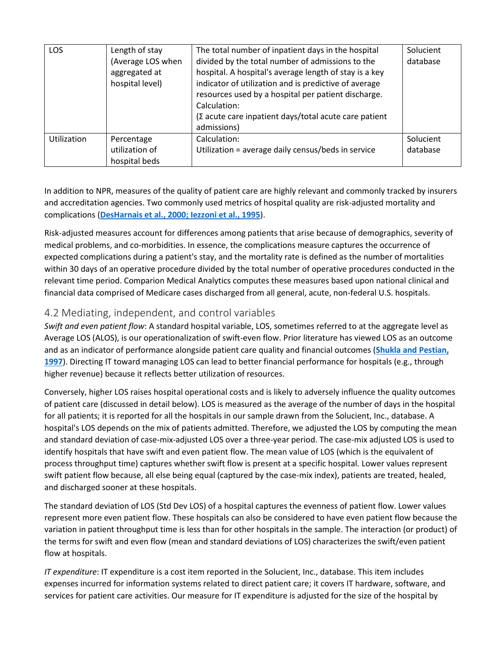| LOS         | Length of stay<br>(Average LOS when<br>aggregated at<br>hospital level) | The total number of inpatient days in the hospital<br>divided by the total number of admissions to the<br>hospital. A hospital's average length of stay is a key<br>indicator of utilization and is predictive of average<br>resources used by a hospital per patient discharge.<br>Calculation:<br>(Σ acute care inpatient days/total acute care patient<br>admissions) | Solucient<br>database |
|-------------|-------------------------------------------------------------------------|--------------------------------------------------------------------------------------------------------------------------------------------------------------------------------------------------------------------------------------------------------------------------------------------------------------------------------------------------------------------------|-----------------------|
| Utilization | Percentage<br>utilization of<br>hospital beds                           | Calculation:<br>Utilization = average daily census/beds in service                                                                                                                                                                                                                                                                                                       | Solucient<br>database |

In addition to NPR, measures of the quality of patient care are highly relevant and commonly tracked by insurers and accreditation agencies. Two commonly used metrics of hospital quality are risk-adjusted mortality and complications (**[DesHarnais et al., 2000; Iezzoni et al., 1995](https://onlinelibrary.wiley.com/doi/full/10.1016/j.jom.2013.03.001#bib0085%20#bib0170)**).

Risk-adjusted measures account for differences among patients that arise because of demographics, severity of medical problems, and co-morbidities. In essence, the complications measure captures the occurrence of expected complications during a patient's stay, and the mortality rate is defined as the number of mortalities within 30 days of an operative procedure divided by the total number of operative procedures conducted in the relevant time period. Comparion Medical Analytics computes these measures based upon national clinical and financial data comprised of Medicare cases discharged from all general, acute, non-federal U.S. hospitals.

## 4.2 Mediating, independent, and control variables

*Swift and even patient flow*: A standard hospital variable, LOS, sometimes referred to at the aggregate level as Average LOS (ALOS), is our operationalization of swift-even flow. Prior literature has viewed LOS as an outcome and as an indicator of performance alongside patient care quality and financial outcomes (**[Shukla and Pestian,](https://onlinelibrary.wiley.com/doi/full/10.1016/j.jom.2013.03.001#bib0345)  [1997](https://onlinelibrary.wiley.com/doi/full/10.1016/j.jom.2013.03.001#bib0345)**). Directing IT toward managing LOS can lead to better financial performance for hospitals (e.g., through higher revenue) because it reflects better utilization of resources.

Conversely, higher LOS raises hospital operational costs and is likely to adversely influence the quality outcomes of patient care (discussed in detail below). LOS is measured as the average of the number of days in the hospital for all patients; it is reported for all the hospitals in our sample drawn from the Solucient, Inc., database. A hospital's LOS depends on the mix of patients admitted. Therefore, we adjusted the LOS by computing the mean and standard deviation of case-mix-adjusted LOS over a three-year period. The case-mix adjusted LOS is used to identify hospitals that have swift and even patient flow. The mean value of LOS (which is the equivalent of process throughput time) captures whether swift flow is present at a specific hospital. Lower values represent swift patient flow because, all else being equal (captured by the case-mix index), patients are treated, healed, and discharged sooner at these hospitals.

The standard deviation of LOS (Std Dev LOS) of a hospital captures the evenness of patient flow. Lower values represent more even patient flow. These hospitals can also be considered to have even patient flow because the variation in patient throughput time is less than for other hospitals in the sample. The interaction (or product) of the terms for swift and even flow (mean and standard deviations of LOS) characterizes the swift/even patient flow at hospitals.

*IT expenditure*: IT expenditure is a cost item reported in the Solucient, Inc., database. This item includes expenses incurred for information systems related to direct patient care; it covers IT hardware, software, and services for patient care activities. Our measure for IT expenditure is adjusted for the size of the hospital by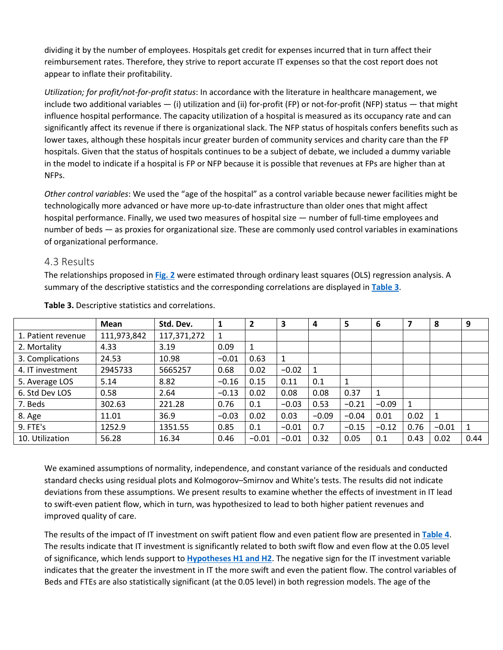dividing it by the number of employees. Hospitals get credit for expenses incurred that in turn affect their reimbursement rates. Therefore, they strive to report accurate IT expenses so that the cost report does not appear to inflate their profitability.

*Utilization; for profit/not‐for‐profit status*: In accordance with the literature in healthcare management, we include two additional variables  $-$  (i) utilization and (ii) for-profit (FP) or not-for-profit (NFP) status  $-$  that might influence hospital performance. The capacity utilization of a hospital is measured as its occupancy rate and can significantly affect its revenue if there is organizational slack. The NFP status of hospitals confers benefits such as lower taxes, although these hospitals incur greater burden of community services and charity care than the FP hospitals. Given that the status of hospitals continues to be a subject of debate, we included a dummy variable in the model to indicate if a hospital is FP or NFP because it is possible that revenues at FPs are higher than at NFPs.

*Other control variables*: We used the "age of the hospital" as a control variable because newer facilities might be technologically more advanced or have more up-to-date infrastructure than older ones that might affect hospital performance. Finally, we used two measures of hospital size — number of full-time employees and number of beds — as proxies for organizational size. These are commonly used control variables in examinations of organizational performance.

#### 4.3 Results

The relationships proposed in **[Fig. 2](https://onlinelibrary.wiley.com/doi/full/10.1016/j.jom.2013.03.001#fig0010)** were estimated through ordinary least squares (OLS) regression analysis. A summary of the descriptive statistics and the corresponding correlations are displayed in **[Table 3](https://onlinelibrary.wiley.com/doi/full/10.1016/j.jom.2013.03.001#tbl0015)**.

|                    | <b>Mean</b> | Std. Dev.   | 1           | $\overline{2}$ | 3       | 4            | 5       | 6       | 7    | 8       | 9    |
|--------------------|-------------|-------------|-------------|----------------|---------|--------------|---------|---------|------|---------|------|
| 1. Patient revenue | 111,973,842 | 117,371,272 | $\mathbf 1$ |                |         |              |         |         |      |         |      |
| 2. Mortality       | 4.33        | 3.19        | 0.09        |                |         |              |         |         |      |         |      |
| 3. Complications   | 24.53       | 10.98       | $-0.01$     | 0.63           | 1       |              |         |         |      |         |      |
| 4. IT investment   | 2945733     | 5665257     | 0.68        | 0.02           | $-0.02$ | $\mathbf{1}$ |         |         |      |         |      |
| 5. Average LOS     | 5.14        | 8.82        | $-0.16$     | 0.15           | 0.11    | 0.1          | 1       |         |      |         |      |
| 6. Std Dev LOS     | 0.58        | 2.64        | $-0.13$     | 0.02           | 0.08    | 0.08         | 0.37    |         |      |         |      |
| 7. Beds            | 302.63      | 221.28      | 0.76        | 0.1            | $-0.03$ | 0.53         | $-0.21$ | $-0.09$ | 1    |         |      |
| 8. Age             | 11.01       | 36.9        | $-0.03$     | 0.02           | 0.03    | $-0.09$      | $-0.04$ | 0.01    | 0.02 |         |      |
| 9. FTE's           | 1252.9      | 1351.55     | 0.85        | 0.1            | $-0.01$ | 0.7          | $-0.15$ | $-0.12$ | 0.76 | $-0.01$ | 1    |
| 10. Utilization    | 56.28       | 16.34       | 0.46        | $-0.01$        | $-0.01$ | 0.32         | 0.05    | 0.1     | 0.43 | 0.02    | 0.44 |

**Table 3.** Descriptive statistics and correlations.

We examined assumptions of normality, independence, and constant variance of the residuals and conducted standard checks using residual plots and Kolmogorov–Smirnov and White's tests. The results did not indicate deviations from these assumptions. We present results to examine whether the effects of investment in IT lead to swift-even patient flow, which in turn, was hypothesized to lead to both higher patient revenues and improved quality of care.

The results of the impact of IT investment on swift patient flow and even patient flow are presented in **[Table 4](https://onlinelibrary.wiley.com/doi/full/10.1016/j.jom.2013.03.001#tbl0020)**. The results indicate that IT investment is significantly related to both swift flow and even flow at the 0.05 level of significance, which lends support to **[Hypotheses H1 and H2](https://onlinelibrary.wiley.com/doi/full/10.1016/j.jom.2013.03.001#enun0005%20#enun0010)**. The negative sign for the IT investment variable indicates that the greater the investment in IT the more swift and even the patient flow. The control variables of Beds and FTEs are also statistically significant (at the 0.05 level) in both regression models. The age of the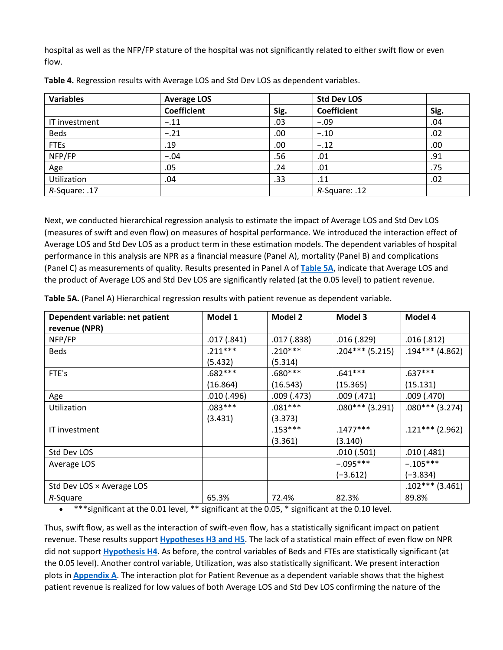hospital as well as the NFP/FP stature of the hospital was not significantly related to either swift flow or even flow.

| <b>Variables</b> | <b>Average LOS</b> |      | <b>Std Dev LOS</b> |      |
|------------------|--------------------|------|--------------------|------|
|                  | Coefficient        | Sig. | <b>Coefficient</b> | Sig. |
| IT investment    | $-.11$             | .03  | $-.09$             | .04  |
| <b>Beds</b>      | $-.21$             | .00. | $-.10$             | .02  |
| <b>FTEs</b>      | .19                | .00  | $-.12$             | .00  |
| NFP/FP           | $-.04$             | .56  | .01                | .91  |
| Age              | .05                | .24  | .01                | .75  |
| Utilization      | .04                | .33  | .11                | .02  |
| R-Square: .17    |                    |      | R-Square: .12      |      |

**Table 4.** Regression results with Average LOS and Std Dev LOS as dependent variables.

Next, we conducted hierarchical regression analysis to estimate the impact of Average LOS and Std Dev LOS (measures of swift and even flow) on measures of hospital performance. We introduced the interaction effect of Average LOS and Std Dev LOS as a product term in these estimation models. The dependent variables of hospital performance in this analysis are NPR as a financial measure (Panel A), mortality (Panel B) and complications (Panel C) as measurements of quality. Results presented in Panel A of **[Table 5A](https://onlinelibrary.wiley.com/doi/full/10.1016/j.jom.2013.03.001#tbl0025)**, indicate that Average LOS and the product of Average LOS and Std Dev LOS are significantly related (at the 0.05 level) to patient revenue.

| Dependent variable: net patient | Model 1     | Model 2     | Model 3           | Model 4           |
|---------------------------------|-------------|-------------|-------------------|-------------------|
| revenue (NPR)                   |             |             |                   |                   |
| NFP/FP                          | .017(.841)  | .017(.838)  | .016(.829)        | .016(.812)        |
| <b>Beds</b>                     | $.211***$   | $.210***$   | $.204***$ (5.215) | $.194***$ (4.862) |
|                                 | (5.432)     | (5.314)     |                   |                   |
| FTE's                           | $.682***$   | .680***     | $.641***$         | $.637***$         |
|                                 | (16.864)    | (16.543)    | (15.365)          | (15.131)          |
| Age                             | .010(0.496) | .009(0.473) | .009(0.471)       | .009(0.470)       |
| Utilization                     | $.083***$   | $.081***$   | $.080***$ (3.291) | $.080***$ (3.274) |
|                                 | (3.431)     | (3.373)     |                   |                   |
| IT investment                   |             | $.153***$   | $.1477***$        | $.121***$ (2.962) |
|                                 |             | (3.361)     | (3.140)           |                   |
| Std Dev LOS                     |             |             | .010(.501)        | .010(.481)        |
| Average LOS                     |             |             | $-.095***$        | $-.105***$        |
|                                 |             |             | $(-3.612)$        | $(-3.834)$        |
| Std Dev LOS × Average LOS       |             |             |                   | $.102***$ (3.461) |
| R-Square                        | 65.3%       | 72.4%       | 82.3%             | 89.8%             |

**Table 5A.** (Panel A) Hierarchical regression results with patient revenue as dependent variable.

• \*\*\*significant at the 0.01 level, \*\* significant at the 0.05, \* significant at the 0.10 level.

Thus, swift flow, as well as the interaction of swift-even flow, has a statistically significant impact on patient revenue. These results support **[Hypotheses H3 and H5](https://onlinelibrary.wiley.com/doi/full/10.1016/j.jom.2013.03.001#enun0015%20#enun0020%20#enun0035%20#enun0040)**. The lack of a statistical main effect of even flow on NPR did not support **[Hypothesis H4](https://onlinelibrary.wiley.com/doi/full/10.1016/j.jom.2013.03.001#enun0025%20#enun0030)**. As before, the control variables of Beds and FTEs are statistically significant (at the 0.05 level). Another control variable, Utilization, was also statistically significant. We present interaction plots in **[Appendix A](https://onlinelibrary.wiley.com/doi/full/10.1016/j.jom.2013.03.001#app1)**. The interaction plot for Patient Revenue as a dependent variable shows that the highest patient revenue is realized for low values of both Average LOS and Std Dev LOS confirming the nature of the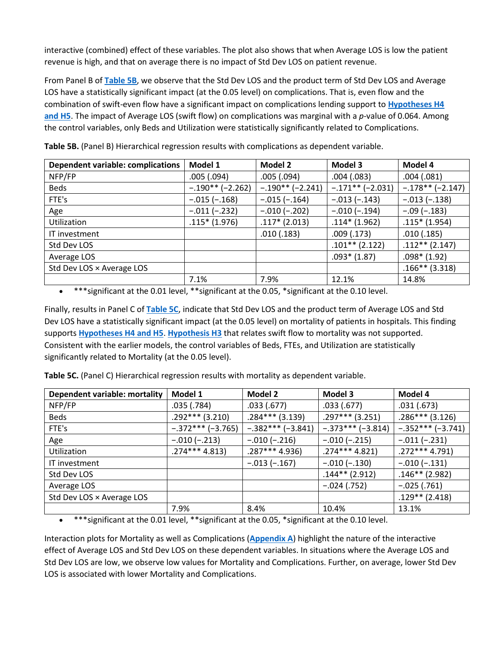interactive (combined) effect of these variables. The plot also shows that when Average LOS is low the patient revenue is high, and that on average there is no impact of Std Dev LOS on patient revenue.

From Panel B of **[Table 5B](https://onlinelibrary.wiley.com/doi/full/10.1016/j.jom.2013.03.001#tbl0030)**, we observe that the Std Dev LOS and the product term of Std Dev LOS and Average LOS have a statistically significant impact (at the 0.05 level) on complications. That is, even flow and the combination of swift-even flow have a significant impact on complications lending support to **[Hypotheses H4](https://onlinelibrary.wiley.com/doi/full/10.1016/j.jom.2013.03.001#enun0025%20#enun0030%20#enun0035%20#enun0040)  [and H5](https://onlinelibrary.wiley.com/doi/full/10.1016/j.jom.2013.03.001#enun0025%20#enun0030%20#enun0035%20#enun0040)**. The impact of Average LOS (swift flow) on complications was marginal with a *p*-value of 0.064. Among the control variables, only Beds and Utilization were statistically significantly related to Complications.

| <b>Dependent variable: complications</b> | Model 1           | <b>Model 2</b>    | Model 3           | Model 4           |
|------------------------------------------|-------------------|-------------------|-------------------|-------------------|
| NFP/FP                                   | .005(.094)        | .005(.094)        | .004(.083)        | .004(.081)        |
| <b>Beds</b>                              | $-.190**(-2.262)$ | $-.190**(-2.241)$ | $-.171**(-2.031)$ | $-.178**(-2.147)$ |
| FTE's                                    | $-.015(-.168)$    | $-.015(-.164)$    | $-.013(-.143)$    | $-.013(-.138)$    |
| Age                                      | $-.011(-.232)$    | $-.010 (-.202)$   | $-.010(-.194)$    | $-.09(-.183)$     |
| Utilization                              | $.115*(1.976)$    | $.117*(2.013)$    | $.114*(1.962)$    | $.115*(1.954)$    |
| IT investment                            |                   | .010(.183)        | .009(.173)        | .010(.185)        |
| Std Dev LOS                              |                   |                   | $.101**$ (2.122)  | $.112**$ (2.147)  |
| Average LOS                              |                   |                   | $.093*(1.87)$     | $.098*(1.92)$     |
| Std Dev LOS × Average LOS                |                   |                   |                   | $.166**$ (3.318)  |
|                                          | 7.1%              | 7.9%              | 12.1%             | 14.8%             |

**Table 5B.** (Panel B) Hierarchical regression results with complications as dependent variable.

• \*\*\*significant at the 0.01 level, \*\*significant at the 0.05, \*significant at the 0.10 level.

Finally, results in Panel C of **[Table 5C](https://onlinelibrary.wiley.com/doi/full/10.1016/j.jom.2013.03.001#tbl0035)**, indicate that Std Dev LOS and the product term of Average LOS and Std Dev LOS have a statistically significant impact (at the 0.05 level) on mortality of patients in hospitals. This finding supports **[Hypotheses H4 and H5](https://onlinelibrary.wiley.com/doi/full/10.1016/j.jom.2013.03.001#enun0025%20#enun0030%20#enun0035%20#enun0040)**. **[Hypothesis H3](https://onlinelibrary.wiley.com/doi/full/10.1016/j.jom.2013.03.001#enun0015%20#enun0020)** that relates swift flow to mortality was not supported. Consistent with the earlier models, the control variables of Beds, FTEs, and Utilization are statistically significantly related to Mortality (at the 0.05 level).

| <b>Dependent variable: mortality</b> | Model 1             | Model 2            | Model 3             | Model 4            |
|--------------------------------------|---------------------|--------------------|---------------------|--------------------|
| NFP/FP                               | .035(.784)          | .033(.677)         | .033(.677)          | .031(.673)         |
| <b>Beds</b>                          | $.292***$ (3.210)   | $.284***$ (3.139)  | $.297***$ (3.251)   | $.286***$ (3.126)  |
| FTE's                                | $-0.372***(-3.765)$ | $-.382***(-3.841)$ | $-0.373***(-3.814)$ | $-.352***(-3.741)$ |
| Age                                  | $-.010(-.213)$      | $-.010(-.216)$     | $-.010(-.215)$      | $-.011(-.231)$     |
| Utilization                          | $.274***4.813)$     | $.287***$ 4.936)   | $.274***4.821$      | $.272***$ 4.791)   |
| IT investment                        |                     | $-.013(-.167)$     | $-.010(-.130)$      | $-.010(-.131)$     |
| Std Dev LOS                          |                     |                    | $.144**$ (2.912)    | $.146**$ (2.982)   |
| Average LOS                          |                     |                    | $-.024(.752)$       | $-.025(.761)$      |
| Std Dev LOS × Average LOS            |                     |                    |                     | $.129**$ (2.418)   |
|                                      | 7.9%                | 8.4%               | 10.4%               | 13.1%              |

**Table 5C.** (Panel C) Hierarchical regression results with mortality as dependent variable.

• \*\*\*significant at the 0.01 level, \*\*significant at the 0.05, \*significant at the 0.10 level.

Interaction plots for Mortality as well as Complications (**[Appendix A](https://onlinelibrary.wiley.com/doi/full/10.1016/j.jom.2013.03.001#app1)**) highlight the nature of the interactive effect of Average LOS and Std Dev LOS on these dependent variables. In situations where the Average LOS and Std Dev LOS are low, we observe low values for Mortality and Complications. Further, on average, lower Std Dev LOS is associated with lower Mortality and Complications.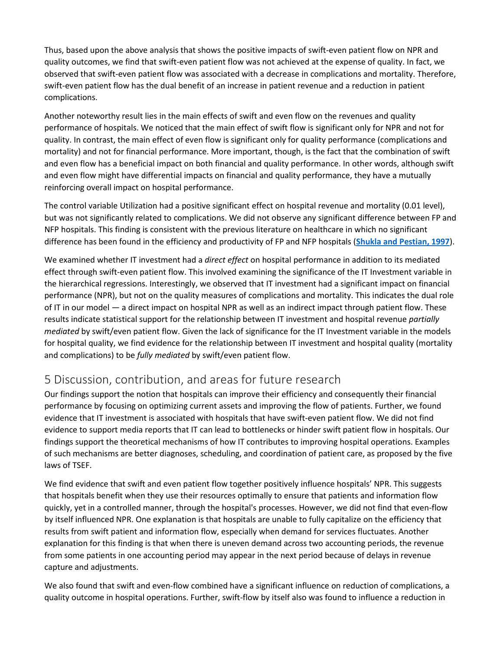Thus, based upon the above analysis that shows the positive impacts of swift-even patient flow on NPR and quality outcomes, we find that swift-even patient flow was not achieved at the expense of quality. In fact, we observed that swift-even patient flow was associated with a decrease in complications and mortality. Therefore, swift-even patient flow has the dual benefit of an increase in patient revenue and a reduction in patient complications.

Another noteworthy result lies in the main effects of swift and even flow on the revenues and quality performance of hospitals. We noticed that the main effect of swift flow is significant only for NPR and not for quality. In contrast, the main effect of even flow is significant only for quality performance (complications and mortality) and not for financial performance. More important, though, is the fact that the combination of swift and even flow has a beneficial impact on both financial and quality performance. In other words, although swift and even flow might have differential impacts on financial and quality performance, they have a mutually reinforcing overall impact on hospital performance.

The control variable Utilization had a positive significant effect on hospital revenue and mortality (0.01 level), but was not significantly related to complications. We did not observe any significant difference between FP and NFP hospitals. This finding is consistent with the previous literature on healthcare in which no significant difference has been found in the efficiency and productivity of FP and NFP hospitals (**[Shukla and Pestian, 1997](https://onlinelibrary.wiley.com/doi/full/10.1016/j.jom.2013.03.001#bib0345)**).

We examined whether IT investment had a *direct effect* on hospital performance in addition to its mediated effect through swift-even patient flow. This involved examining the significance of the IT Investment variable in the hierarchical regressions. Interestingly, we observed that IT investment had a significant impact on financial performance (NPR), but not on the quality measures of complications and mortality. This indicates the dual role of IT in our model — a direct impact on hospital NPR as well as an indirect impact through patient flow. These results indicate statistical support for the relationship between IT investment and hospital revenue *partially mediated* by swift/even patient flow. Given the lack of significance for the IT Investment variable in the models for hospital quality, we find evidence for the relationship between IT investment and hospital quality (mortality and complications) to be *fully mediated* by swift/even patient flow.

## 5 Discussion, contribution, and areas for future research

Our findings support the notion that hospitals can improve their efficiency and consequently their financial performance by focusing on optimizing current assets and improving the flow of patients. Further, we found evidence that IT investment is associated with hospitals that have swift-even patient flow. We did not find evidence to support media reports that IT can lead to bottlenecks or hinder swift patient flow in hospitals. Our findings support the theoretical mechanisms of how IT contributes to improving hospital operations. Examples of such mechanisms are better diagnoses, scheduling, and coordination of patient care, as proposed by the five laws of TSEF.

We find evidence that swift and even patient flow together positively influence hospitals' NPR. This suggests that hospitals benefit when they use their resources optimally to ensure that patients and information flow quickly, yet in a controlled manner, through the hospital's processes. However, we did not find that even-flow by itself influenced NPR. One explanation is that hospitals are unable to fully capitalize on the efficiency that results from swift patient and information flow, especially when demand for services fluctuates. Another explanation for this finding is that when there is uneven demand across two accounting periods, the revenue from some patients in one accounting period may appear in the next period because of delays in revenue capture and adjustments.

We also found that swift and even-flow combined have a significant influence on reduction of complications, a quality outcome in hospital operations. Further, swift-flow by itself also was found to influence a reduction in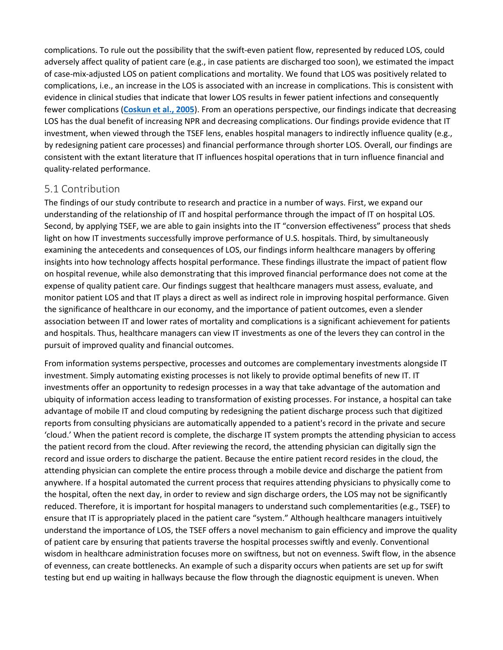complications. To rule out the possibility that the swift-even patient flow, represented by reduced LOS, could adversely affect quality of patient care (e.g., in case patients are discharged too soon), we estimated the impact of case-mix-adjusted LOS on patient complications and mortality. We found that LOS was positively related to complications, i.e., an increase in the LOS is associated with an increase in complications. This is consistent with evidence in clinical studies that indicate that lower LOS results in fewer patient infections and consequently fewer complications (**[Coskun et al., 2005](https://onlinelibrary.wiley.com/doi/full/10.1016/j.jom.2013.03.001#bib0070)**). From an operations perspective, our findings indicate that decreasing LOS has the dual benefit of increasing NPR and decreasing complications. Our findings provide evidence that IT investment, when viewed through the TSEF lens, enables hospital managers to indirectly influence quality (e.g., by redesigning patient care processes) and financial performance through shorter LOS. Overall, our findings are consistent with the extant literature that IT influences hospital operations that in turn influence financial and quality-related performance.

#### 5.1 Contribution

The findings of our study contribute to research and practice in a number of ways. First, we expand our understanding of the relationship of IT and hospital performance through the impact of IT on hospital LOS. Second, by applying TSEF, we are able to gain insights into the IT "conversion effectiveness" process that sheds light on how IT investments successfully improve performance of U.S. hospitals. Third, by simultaneously examining the antecedents and consequences of LOS, our findings inform healthcare managers by offering insights into how technology affects hospital performance. These findings illustrate the impact of patient flow on hospital revenue, while also demonstrating that this improved financial performance does not come at the expense of quality patient care. Our findings suggest that healthcare managers must assess, evaluate, and monitor patient LOS and that IT plays a direct as well as indirect role in improving hospital performance. Given the significance of healthcare in our economy, and the importance of patient outcomes, even a slender association between IT and lower rates of mortality and complications is a significant achievement for patients and hospitals. Thus, healthcare managers can view IT investments as one of the levers they can control in the pursuit of improved quality and financial outcomes.

From information systems perspective, processes and outcomes are complementary investments alongside IT investment. Simply automating existing processes is not likely to provide optimal benefits of new IT. IT investments offer an opportunity to redesign processes in a way that take advantage of the automation and ubiquity of information access leading to transformation of existing processes. For instance, a hospital can take advantage of mobile IT and cloud computing by redesigning the patient discharge process such that digitized reports from consulting physicians are automatically appended to a patient's record in the private and secure 'cloud.' When the patient record is complete, the discharge IT system prompts the attending physician to access the patient record from the cloud. After reviewing the record, the attending physician can digitally sign the record and issue orders to discharge the patient. Because the entire patient record resides in the cloud, the attending physician can complete the entire process through a mobile device and discharge the patient from anywhere. If a hospital automated the current process that requires attending physicians to physically come to the hospital, often the next day, in order to review and sign discharge orders, the LOS may not be significantly reduced. Therefore, it is important for hospital managers to understand such complementarities (e.g., TSEF) to ensure that IT is appropriately placed in the patient care "system." Although healthcare managers intuitively understand the importance of LOS, the TSEF offers a novel mechanism to gain efficiency and improve the quality of patient care by ensuring that patients traverse the hospital processes swiftly and evenly. Conventional wisdom in healthcare administration focuses more on swiftness, but not on evenness. Swift flow, in the absence of evenness, can create bottlenecks. An example of such a disparity occurs when patients are set up for swift testing but end up waiting in hallways because the flow through the diagnostic equipment is uneven. When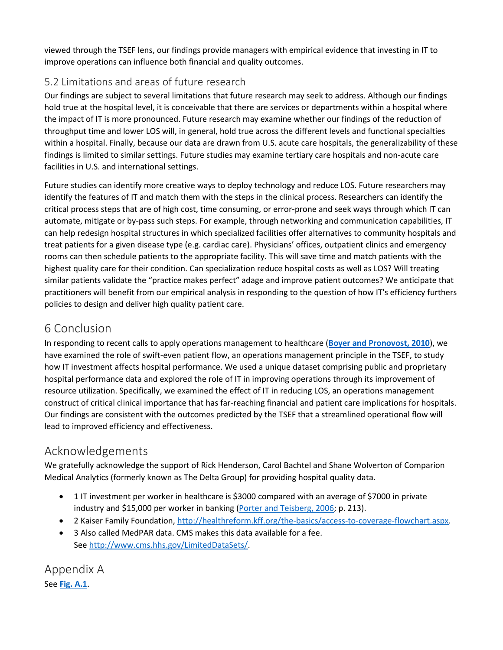viewed through the TSEF lens, our findings provide managers with empirical evidence that investing in IT to improve operations can influence both financial and quality outcomes.

## 5.2 Limitations and areas of future research

Our findings are subject to several limitations that future research may seek to address. Although our findings hold true at the hospital level, it is conceivable that there are services or departments within a hospital where the impact of IT is more pronounced. Future research may examine whether our findings of the reduction of throughput time and lower LOS will, in general, hold true across the different levels and functional specialties within a hospital. Finally, because our data are drawn from U.S. acute care hospitals, the generalizability of these findings is limited to similar settings. Future studies may examine tertiary care hospitals and non-acute care facilities in U.S. and international settings.

Future studies can identify more creative ways to deploy technology and reduce LOS. Future researchers may identify the features of IT and match them with the steps in the clinical process. Researchers can identify the critical process steps that are of high cost, time consuming, or error-prone and seek ways through which IT can automate, mitigate or by-pass such steps. For example, through networking and communication capabilities, IT can help redesign hospital structures in which specialized facilities offer alternatives to community hospitals and treat patients for a given disease type (e.g. cardiac care). Physicians' offices, outpatient clinics and emergency rooms can then schedule patients to the appropriate facility. This will save time and match patients with the highest quality care for their condition. Can specialization reduce hospital costs as well as LOS? Will treating similar patients validate the "practice makes perfect" adage and improve patient outcomes? We anticipate that practitioners will benefit from our empirical analysis in responding to the question of how IT's efficiency furthers policies to design and deliver high quality patient care.

## 6 Conclusion

In responding to recent calls to apply operations management to healthcare (**[Boyer and Pronovost, 2010](https://onlinelibrary.wiley.com/doi/full/10.1016/j.jom.2013.03.001#bib0045)**), we have examined the role of swift-even patient flow, an operations management principle in the TSEF, to study how IT investment affects hospital performance. We used a unique dataset comprising public and proprietary hospital performance data and explored the role of IT in improving operations through its improvement of resource utilization. Specifically, we examined the effect of IT in reducing LOS, an operations management construct of critical clinical importance that has far-reaching financial and patient care implications for hospitals. Our findings are consistent with the outcomes predicted by the TSEF that a streamlined operational flow will lead to improved efficiency and effectiveness.

## Acknowledgements

We gratefully acknowledge the support of Rick Henderson, Carol Bachtel and Shane Wolverton of Comparion Medical Analytics (formerly known as The Delta Group) for providing hospital quality data.

- 1 IT investment per worker in healthcare is \$3000 compared with an average of \$7000 in private industry and \$15,000 per worker in banking [\(Porter and Teisberg, 2006;](https://onlinelibrary.wiley.com/doi/full/10.1016/j.jom.2013.03.001#bib0275) p. 213).
- 2 Kaiser Family Foundation, [http://healthreform.kff.org/the-basics/access-to-coverage-flowchart.aspx.](http://healthreform.kff.org/the-basics/access-to-coverage-flowchart.aspx)
- 3 Also called MedPAR data. CMS makes this data available for a fee. See [http://www.cms.hhs.gov/LimitedDataSets/.](http://www.cms.hhs.gov/LimitedDataSets/)

Appendix A See **[Fig. A.1](https://onlinelibrary.wiley.com/doi/full/10.1016/j.jom.2013.03.001#fig0015)**.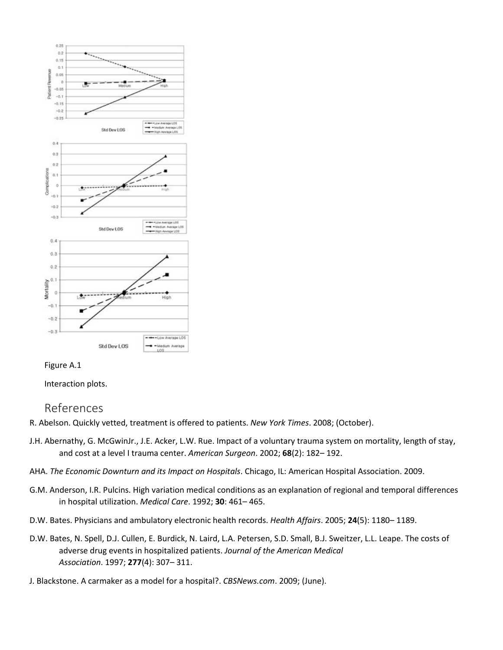



Interaction plots.

#### References

- R. Abelson. Quickly vetted, treatment is offered to patients. *New York Times*. 2008; (October).
- J.H. Abernathy, G. McGwinJr., J.E. Acker, L.W. Rue. Impact of a voluntary trauma system on mortality, length of stay, and cost at a level I trauma center. *American Surgeon*. 2002; **68**(2): 182– 192.
- AHA. *The Economic Downturn and its Impact on Hospitals*. Chicago, IL: American Hospital Association. 2009.
- G.M. Anderson, I.R. Pulcins. High variation medical conditions as an explanation of regional and temporal differences in hospital utilization. *Medical Care*. 1992; **30**: 461– 465.
- D.W. Bates. Physicians and ambulatory electronic health records. *Health Affairs*. 2005; **24**(5): 1180– 1189.
- D.W. Bates, N. Spell, D.J. Cullen, E. Burdick, N. Laird, L.A. Petersen, S.D. Small, B.J. Sweitzer, L.L. Leape. The costs of adverse drug events in hospitalized patients. *Journal of the American Medical Association*. 1997; **277**(4): 307– 311.
- J. Blackstone. A carmaker as a model for a hospital?. *CBSNews.com*. 2009; (June).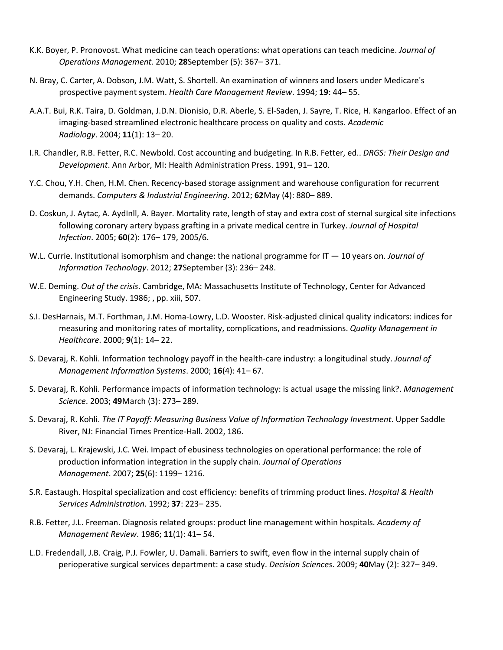- K.K. Boyer, P. Pronovost. What medicine can teach operations: what operations can teach medicine. *Journal of Operations Management*. 2010; **28**September (5): 367– 371.
- N. Bray, C. Carter, A. Dobson, J.M. Watt, S. Shortell. An examination of winners and losers under Medicare's prospective payment system. *Health Care Management Review*. 1994; **19**: 44– 55.
- A.A.T. Bui, R.K. Taira, D. Goldman, J.D.N. Dionisio, D.R. Aberle, S. El-Saden, J. Sayre, T. Rice, H. Kangarloo. Effect of an imaging-based streamlined electronic healthcare process on quality and costs. *Academic Radiology*. 2004; **11**(1): 13– 20.
- I.R. Chandler, R.B. Fetter, R.C. Newbold. Cost accounting and budgeting. In R.B. Fetter, ed.. *DRGS: Their Design and Development*. Ann Arbor, MI: Health Administration Press. 1991, 91– 120.
- Y.C. Chou, Y.H. Chen, H.M. Chen. Recency-based storage assignment and warehouse configuration for recurrent demands. *Computers & Industrial Engineering*. 2012; **62**May (4): 880– 889.
- D. Coskun, J. Aytac, A. AydInll, A. Bayer. Mortality rate, length of stay and extra cost of sternal surgical site infections following coronary artery bypass grafting in a private medical centre in Turkey. *Journal of Hospital Infection*. 2005; **60**(2): 176– 179, 2005/6.
- W.L. Currie. Institutional isomorphism and change: the national programme for IT 10 years on. *Journal of Information Technology*. 2012; **27**September (3): 236– 248.
- W.E. Deming. *Out of the crisis*. Cambridge, MA: Massachusetts Institute of Technology, Center for Advanced Engineering Study. 1986; , pp. xiii, 507.
- S.I. DesHarnais, M.T. Forthman, J.M. Homa-Lowry, L.D. Wooster. Risk-adjusted clinical quality indicators: indices for measuring and monitoring rates of mortality, complications, and readmissions. *Quality Management in Healthcare*. 2000; **9**(1): 14– 22.
- S. Devaraj, R. Kohli. Information technology payoff in the health-care industry: a longitudinal study. *Journal of Management Information Systems*. 2000; **16**(4): 41– 67.
- S. Devaraj, R. Kohli. Performance impacts of information technology: is actual usage the missing link?. *Management Science*. 2003; **49**March (3): 273– 289.
- S. Devaraj, R. Kohli. *The IT Payoff: Measuring Business Value of Information Technology Investment*. Upper Saddle River, NJ: Financial Times Prentice-Hall. 2002, 186.
- S. Devaraj, L. Krajewski, J.C. Wei. Impact of ebusiness technologies on operational performance: the role of production information integration in the supply chain. *Journal of Operations Management*. 2007; **25**(6): 1199– 1216.
- S.R. Eastaugh. Hospital specialization and cost efficiency: benefits of trimming product lines. *Hospital & Health Services Administration*. 1992; **37**: 223– 235.
- R.B. Fetter, J.L. Freeman. Diagnosis related groups: product line management within hospitals. *Academy of Management Review*. 1986; **11**(1): 41– 54.
- L.D. Fredendall, J.B. Craig, P.J. Fowler, U. Damali. Barriers to swift, even flow in the internal supply chain of perioperative surgical services department: a case study. *Decision Sciences*. 2009; **40**May (2): 327– 349.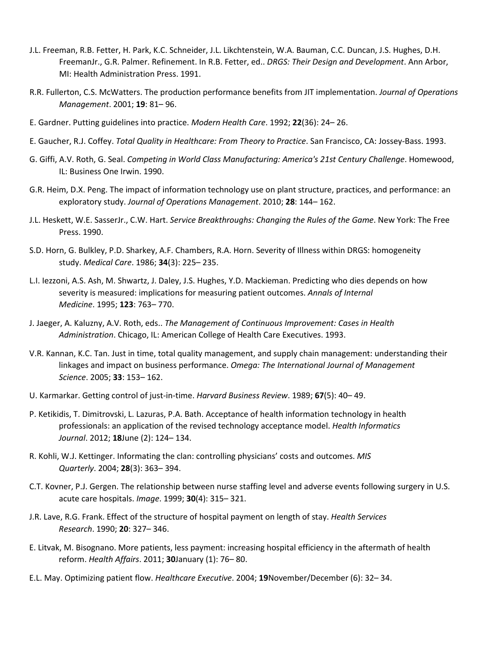- J.L. Freeman, R.B. Fetter, H. Park, K.C. Schneider, J.L. Likchtenstein, W.A. Bauman, C.C. Duncan, J.S. Hughes, D.H. FreemanJr., G.R. Palmer. Refinement. In R.B. Fetter, ed.. *DRGS: Their Design and Development*. Ann Arbor, MI: Health Administration Press. 1991.
- R.R. Fullerton, C.S. McWatters. The production performance benefits from JIT implementation. *Journal of Operations Management*. 2001; **19**: 81– 96.
- E. Gardner. Putting guidelines into practice. *Modern Health Care*. 1992; **22**(36): 24– 26.
- E. Gaucher, R.J. Coffey. *Total Quality in Healthcare: From Theory to Practice*. San Francisco, CA: Jossey-Bass. 1993.
- G. Giffi, A.V. Roth, G. Seal. *Competing in World Class Manufacturing: America's 21st Century Challenge*. Homewood, IL: Business One Irwin. 1990.
- G.R. Heim, D.X. Peng. The impact of information technology use on plant structure, practices, and performance: an exploratory study. *Journal of Operations Management*. 2010; **28**: 144– 162.
- J.L. Heskett, W.E. SasserJr., C.W. Hart. *Service Breakthroughs: Changing the Rules of the Game*. New York: The Free Press. 1990.
- S.D. Horn, G. Bulkley, P.D. Sharkey, A.F. Chambers, R.A. Horn. Severity of Illness within DRGS: homogeneity study. *Medical Care*. 1986; **34**(3): 225– 235.
- L.I. Iezzoni, A.S. Ash, M. Shwartz, J. Daley, J.S. Hughes, Y.D. Mackieman. Predicting who dies depends on how severity is measured: implications for measuring patient outcomes. *Annals of Internal Medicine*. 1995; **123**: 763– 770.
- J. Jaeger, A. Kaluzny, A.V. Roth, eds.. *The Management of Continuous Improvement: Cases in Health Administration*. Chicago, IL: American College of Health Care Executives. 1993.
- V.R. Kannan, K.C. Tan. Just in time, total quality management, and supply chain management: understanding their linkages and impact on business performance. *Omega: The International Journal of Management Science*. 2005; **33**: 153– 162.
- U. Karmarkar. Getting control of just-in-time. *Harvard Business Review*. 1989; **67**(5): 40– 49.
- P. Ketikidis, T. Dimitrovski, L. Lazuras, P.A. Bath. Acceptance of health information technology in health professionals: an application of the revised technology acceptance model. *Health Informatics Journal*. 2012; **18**June (2): 124– 134.
- R. Kohli, W.J. Kettinger. Informating the clan: controlling physicians' costs and outcomes. *MIS Quarterly*. 2004; **28**(3): 363– 394.
- C.T. Kovner, P.J. Gergen. The relationship between nurse staffing level and adverse events following surgery in U.S. acute care hospitals. *Image*. 1999; **30**(4): 315– 321.
- J.R. Lave, R.G. Frank. Effect of the structure of hospital payment on length of stay. *Health Services Research*. 1990; **20**: 327– 346.
- E. Litvak, M. Bisognano. More patients, less payment: increasing hospital efficiency in the aftermath of health reform. *Health Affairs*. 2011; **30**January (1): 76– 80.
- E.L. May. Optimizing patient flow. *Healthcare Executive*. 2004; **19**November/December (6): 32– 34.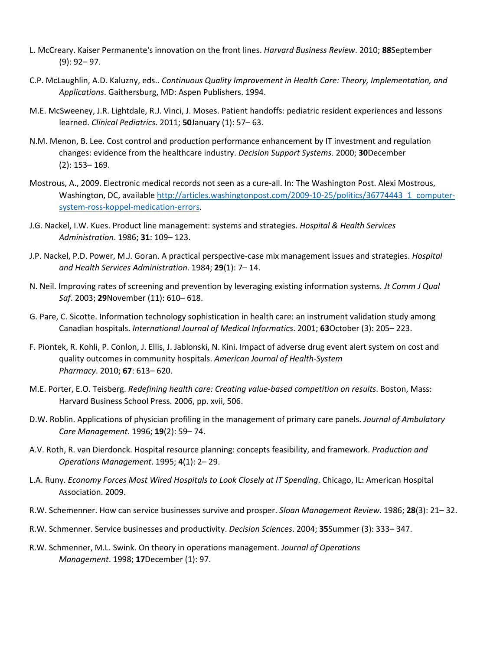- L. McCreary. Kaiser Permanente's innovation on the front lines. *Harvard Business Review*. 2010; **88**September (9): 92– 97.
- C.P. McLaughlin, A.D. Kaluzny, eds.. *Continuous Quality Improvement in Health Care: Theory, Implementation, and Applications*. Gaithersburg, MD: Aspen Publishers. 1994.
- M.E. McSweeney, J.R. Lightdale, R.J. Vinci, J. Moses. Patient handoffs: pediatric resident experiences and lessons learned. *Clinical Pediatrics*. 2011; **50**January (1): 57– 63.
- N.M. Menon, B. Lee. Cost control and production performance enhancement by IT investment and regulation changes: evidence from the healthcare industry. *Decision Support Systems*. 2000; **30**December (2): 153– 169.
- Mostrous, A., 2009. Electronic medical records not seen as a cure-all. In: The Washington Post. Alexi Mostrous, Washington, DC, available [http://articles.washingtonpost.com/2009-10-25/politics/36774443\\_1\\_computer](http://articles.washingtonpost.com/2009-10-25/politics/36774443_1_computer-system-ross-koppel-medication-errors)[system-ross-koppel-medication-errors.](http://articles.washingtonpost.com/2009-10-25/politics/36774443_1_computer-system-ross-koppel-medication-errors)
- J.G. Nackel, I.W. Kues. Product line management: systems and strategies. *Hospital & Health Services Administration*. 1986; **31**: 109– 123.
- J.P. Nackel, P.D. Power, M.J. Goran. A practical perspective-case mix management issues and strategies. *Hospital and Health Services Administration*. 1984; **29**(1): 7– 14.
- N. Neil. Improving rates of screening and prevention by leveraging existing information systems. *Jt Comm J Qual Saf*. 2003; **29**November (11): 610– 618.
- G. Pare, C. Sicotte. Information technology sophistication in health care: an instrument validation study among Canadian hospitals. *International Journal of Medical Informatics*. 2001; **63**October (3): 205– 223.
- F. Piontek, R. Kohli, P. Conlon, J. Ellis, J. Jablonski, N. Kini. Impact of adverse drug event alert system on cost and quality outcomes in community hospitals. *American Journal of Health‐System Pharmacy*. 2010; **67**: 613– 620.
- M.E. Porter, E.O. Teisberg. *Redefining health care: Creating value‐based competition on results*. Boston, Mass: Harvard Business School Press. 2006, pp. xvii, 506.
- D.W. Roblin. Applications of physician profiling in the management of primary care panels. *Journal of Ambulatory Care Management*. 1996; **19**(2): 59– 74.
- A.V. Roth, R. van Dierdonck. Hospital resource planning: concepts feasibility, and framework. *Production and Operations Management*. 1995; **4**(1): 2– 29.
- L.A. Runy. *Economy Forces Most Wired Hospitals to Look Closely at IT Spending*. Chicago, IL: American Hospital Association. 2009.
- R.W. Schemenner. How can service businesses survive and prosper. *Sloan Management Review*. 1986; **28**(3): 21– 32.
- R.W. Schmenner. Service businesses and productivity. *Decision Sciences*. 2004; **35**Summer (3): 333– 347.
- R.W. Schmenner, M.L. Swink. On theory in operations management. *Journal of Operations Management*. 1998; **17**December (1): 97.